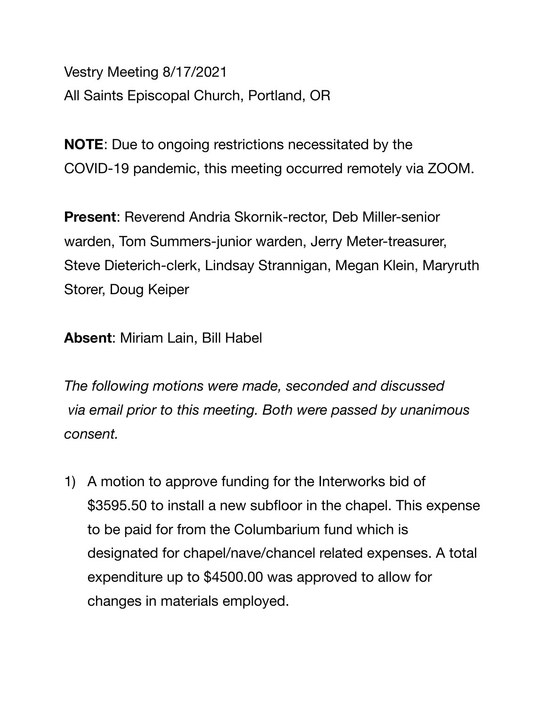Vestry Meeting 8/17/2021 All Saints Episcopal Church, Portland, OR

**NOTE**: Due to ongoing restrictions necessitated by the COVID-19 pandemic, this meeting occurred remotely via ZOOM.

**Present**: Reverend Andria Skornik-rector, Deb Miller-senior warden, Tom Summers-junior warden, Jerry Meter-treasurer, Steve Dieterich-clerk, Lindsay Strannigan, Megan Klein, Maryruth Storer, Doug Keiper

**Absent**: Miriam Lain, Bill Habel

*The following motions were made, seconded and discussed via email prior to this meeting. Both were passed by unanimous consent.* 

1) A motion to approve funding for the Interworks bid of \$3595.50 to install a new subfloor in the chapel. This expense to be paid for from the Columbarium fund which is designated for chapel/nave/chancel related expenses. A total expenditure up to \$4500.00 was approved to allow for changes in materials employed.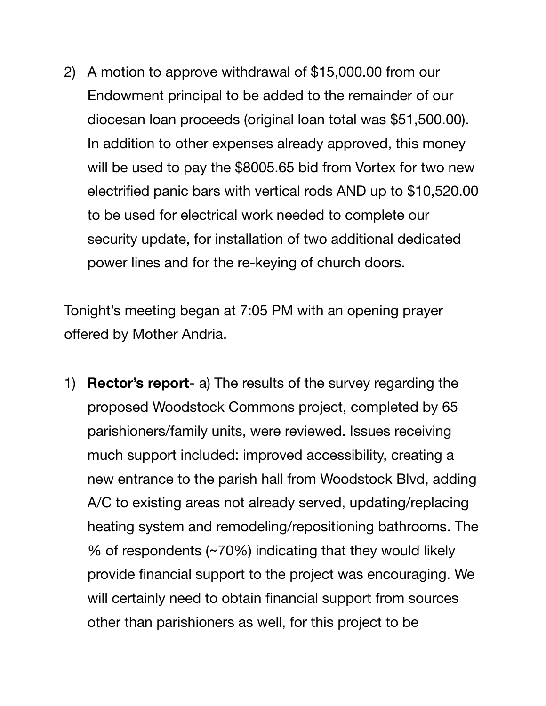2) A motion to approve withdrawal of \$15,000.00 from our Endowment principal to be added to the remainder of our diocesan loan proceeds (original loan total was \$51,500.00). In addition to other expenses already approved, this money will be used to pay the \$8005.65 bid from Vortex for two new electrified panic bars with vertical rods AND up to \$10,520.00 to be used for electrical work needed to complete our security update, for installation of two additional dedicated power lines and for the re-keying of church doors.

Tonight's meeting began at 7:05 PM with an opening prayer offered by Mother Andria.

1) **Rector's report**- a) The results of the survey regarding the proposed Woodstock Commons project, completed by 65 parishioners/family units, were reviewed. Issues receiving much support included: improved accessibility, creating a new entrance to the parish hall from Woodstock Blvd, adding A/C to existing areas not already served, updating/replacing heating system and remodeling/repositioning bathrooms. The % of respondents (~70%) indicating that they would likely provide financial support to the project was encouraging. We will certainly need to obtain financial support from sources other than parishioners as well, for this project to be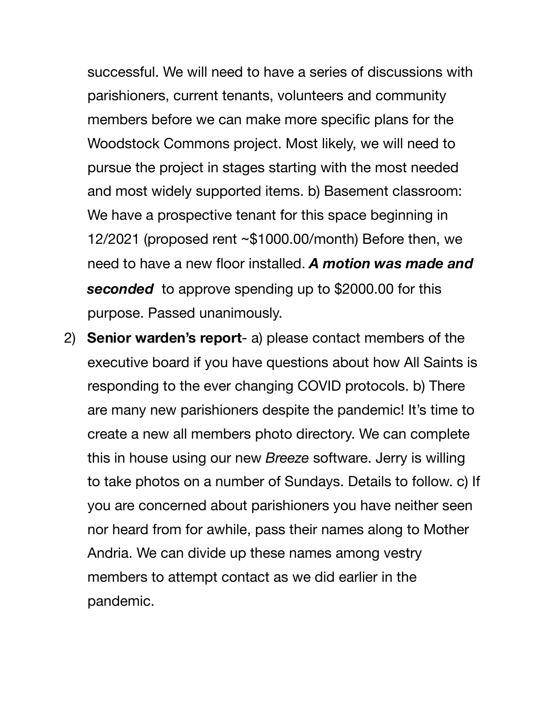successful. We will need to have a series of discussions with parishioners, current tenants, volunteers and community members before we can make more specific plans for the Woodstock Commons project. Most likely, we will need to pursue the project in stages starting with the most needed and most widely supported items. b) Basement classroom: We have a prospective tenant for this space beginning in 12/2021 (proposed rent ~\$1000.00/month) Before then, we need to have a new floor installed. *A motion was made and seconded* to approve spending up to \$2000.00 for this purpose. Passed unanimously.

2) **Senior warden's report**- a) please contact members of the executive board if you have questions about how All Saints is responding to the ever changing COVID protocols. b) There are many new parishioners despite the pandemic! It's time to create a new all members photo directory. We can complete this in house using our new *Breeze* software. Jerry is willing to take photos on a number of Sundays. Details to follow. c) If you are concerned about parishioners you have neither seen nor heard from for awhile, pass their names along to Mother Andria. We can divide up these names among vestry members to attempt contact as we did earlier in the pandemic.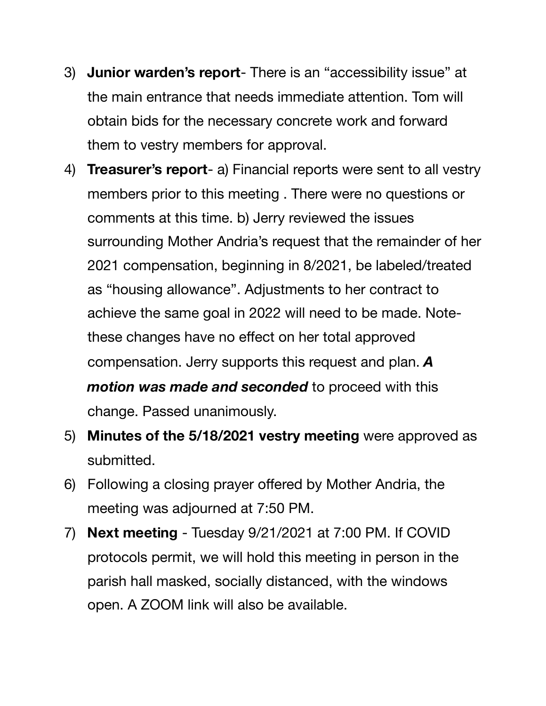- 3) **Junior warden's report** There is an "accessibility issue" at the main entrance that needs immediate attention. Tom will obtain bids for the necessary concrete work and forward them to vestry members for approval.
- 4) **Treasurer's report** a) Financial reports were sent to all vestry members prior to this meeting . There were no questions or comments at this time. b) Jerry reviewed the issues surrounding Mother Andria's request that the remainder of her 2021 compensation, beginning in 8/2021, be labeled/treated as "housing allowance". Adjustments to her contract to achieve the same goal in 2022 will need to be made. Notethese changes have no effect on her total approved compensation. Jerry supports this request and plan. *A motion was made and seconded* to proceed with this change. Passed unanimously.
- 5) **Minutes of the 5/18/2021 vestry meeting** were approved as submitted.
- 6) Following a closing prayer offered by Mother Andria, the meeting was adjourned at 7:50 PM.
- 7) **Next meeting** Tuesday 9/21/2021 at 7:00 PM. If COVID protocols permit, we will hold this meeting in person in the parish hall masked, socially distanced, with the windows open. A ZOOM link will also be available.